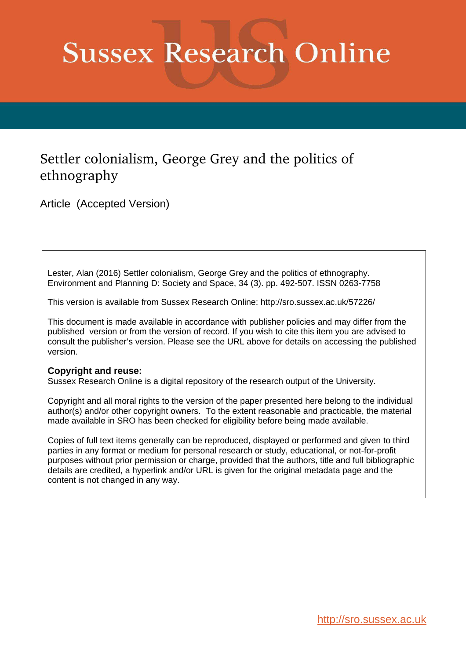# **Sussex Research Online**

# Settler colonialism, George Grey and the politics of ethnography

Article (Accepted Version)

Lester, Alan (2016) Settler colonialism, George Grey and the politics of ethnography. Environment and Planning D: Society and Space, 34 (3). pp. 492-507. ISSN 0263-7758

This version is available from Sussex Research Online: http://sro.sussex.ac.uk/57226/

This document is made available in accordance with publisher policies and may differ from the published version or from the version of record. If you wish to cite this item you are advised to consult the publisher's version. Please see the URL above for details on accessing the published version.

## **Copyright and reuse:**

Sussex Research Online is a digital repository of the research output of the University.

Copyright and all moral rights to the version of the paper presented here belong to the individual author(s) and/or other copyright owners. To the extent reasonable and practicable, the material made available in SRO has been checked for eligibility before being made available.

Copies of full text items generally can be reproduced, displayed or performed and given to third parties in any format or medium for personal research or study, educational, or not-for-profit purposes without prior permission or charge, provided that the authors, title and full bibliographic details are credited, a hyperlink and/or URL is given for the original metadata page and the content is not changed in any way.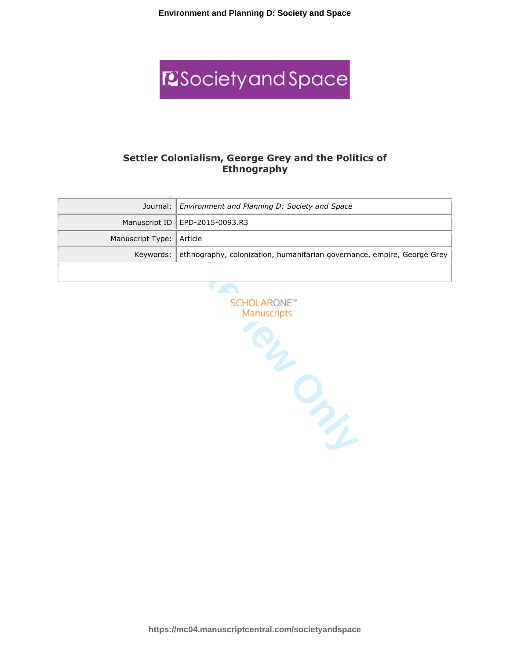

### Settler Colonialism, George Grey and the Politics of **Ethnography**

|                            | Journal: <i>Environment and Planning D: Society and Space</i>                     |
|----------------------------|-----------------------------------------------------------------------------------|
|                            | Manuscript ID   EPD-2015-0093.R3                                                  |
| Manuscript Type:   Article |                                                                                   |
|                            | Keywords: ethnography, colonization, humanitarian governance, empire, George Grey |
|                            |                                                                                   |

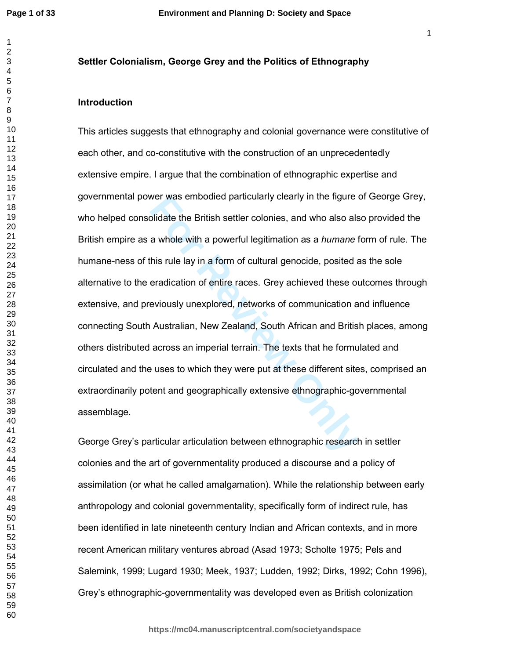#### Settler Colonialism, George Grey and the Politics of Ethnography

#### **Introduction**

Wer was embodied particularly clearly in the figure obidate the British settler colonies, and who also alse a whole with a powerful legitimation as a *humane* this rule lay in a form of cultural genocide, posited a eradica This articles suggests that ethnography and colonial governance were constitutive of each other, and co-constitutive with the construction of an unprecedentedly extensive empire. I argue that the combination of ethnographic expertise and governmental power was embodied particularly clearly in the figure of George Grey, who helped consolidate the British settler colonies, and who also also provided the British empire as a whole with a powerful legitimation as a *humane* form of rule. The humane-ness of this rule lay in a form of cultural genocide, posited as the sole alternative to the eradication of entire races. Grey achieved these outcomes through extensive, and previously unexplored, networks of communication and influence connecting South Australian, New Zealand, South African and British places, among others distributed across an imperial terrain. The texts that he formulated and circulated and the uses to which they were put at these different sites, comprised an extraordinarily potent and geographically extensive ethnographic-governmental assemblage.

George Grey's particular articulation between ethnographic research in settler colonies and the art of governmentality produced a discourse and a policy of assimilation (or what he called amalgamation). While the relationship between early anthropology and colonial governmentality, specifically form of indirect rule, has been identified in late nineteenth century Indian and African contexts, and in more recent American military ventures abroad (Asad 1973; Scholte 1975; Pels and Salemink, 1999; Lugard 1930; Meek, 1937; Ludden, 1992; Dirks, 1992; Cohn 1996), Grey's ethnographic-governmentality was developed even as British colonization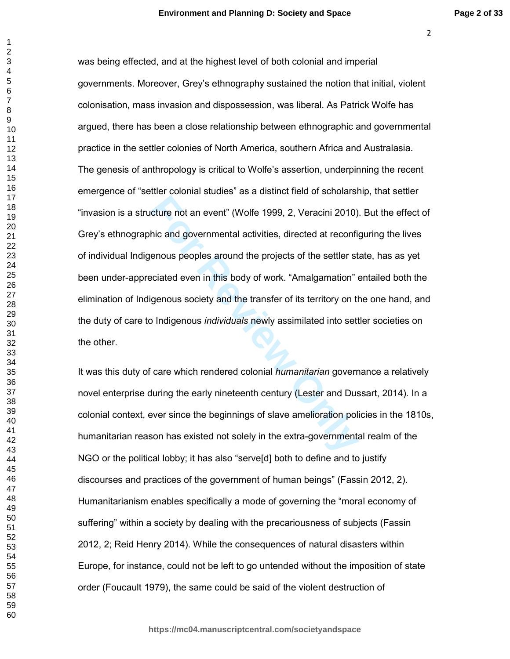reture not an event" (Wolfe 1999, 2, Veracini 2010)<br>hic and governmental activities, directed at reconfig<br>enous peoples around the projects of the settler st<br>eciated even in this body of work. "Amalgamation"<br>igenous societ was being effected, and at the highest level of both colonial and imperial governments. Moreover, Grey's ethnography sustained the notion that initial, violent colonisation, mass invasion and dispossession, was liberal. As Patrick Wolfe has argued, there has been a close relationship between ethnographic and governmental practice in the settler colonies of North America, southern Africa and Australasia. The genesis of anthropology is critical to Wolfe's assertion, underpinning the recent emergence of "settler colonial studies" as a distinct field of scholarship, that settler "invasion is a structure not an event" (Wolfe 1999, 2, Veracini 2010). But the effect of Grey's ethnographic and governmental activities, directed at reconfiguring the lives of individual Indigenous peoples around the projects of the settler state, has as yet been under-appreciated even in this body of work. "Amalgamation" entailed both the elimination of Indigenous society and the transfer of its territory on the one hand, and the duty of care to Indigenous *individuals* newly assimilated into settler societies on the other.

It was this duty of care which rendered colonial *humanitarian* governance a relatively novel enterprise during the early nineteenth century (Lester and Dussart, 2014). In a colonial context, ever since the beginnings of slave amelioration policies in the 1810s, humanitarian reason has existed not solely in the extra-governmental realm of the NGO or the political lobby; it has also "serve[d] both to define and to justify discourses and practices of the government of human beings" (Fassin 2012, 2). Humanitarianism enables specifically a mode of governing the "moral economy of suffering" within a society by dealing with the precariousness of subjects (Fassin 2012, 2; Reid Henry 2014). While the consequences of natural disasters within Europe, for instance, could not be left to go untended without the imposition of state order (Foucault 1979), the same could be said of the violent destruction of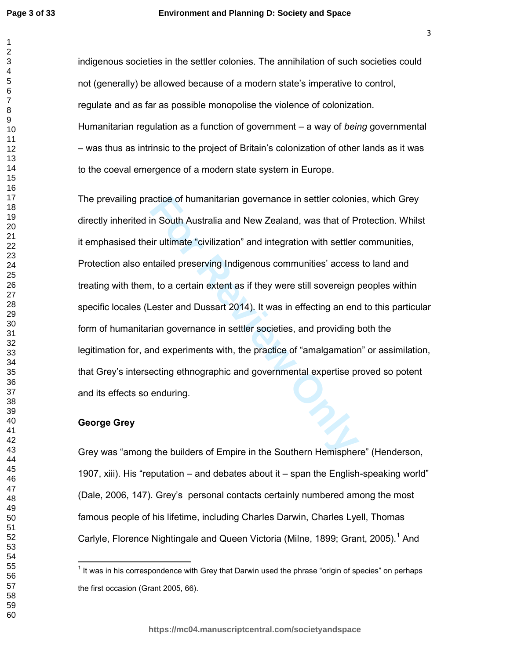indigenous societies in the settler colonies. The annihilation of such societies could not (generally) be allowed because of a modern state's imperative to control, regulate and as far as possible monopolise the violence of colonization. Humanitarian regulation as a function of government  $-$  a way of being governmental – was thus as intrinsic to the project of Britain's colonization of other lands as it was to the coeval emergence of a modern state system in Europe.

actice of humanitarian governance in settler colonia<br>
in South Australia and New Zealand, was that of Pi<br>
ir ultimate "civilization" and integration with settler<br>
trailed preserving Indigenous communities' access<br>
1, to a The prevailing practice of humanitarian governance in settler colonies, which Grey directly inherited in South Australia and New Zealand, was that of Protection. Whilst it emphasised their ultimate "civilization" and integration with settler communities, Protection also entailed preserving Indigenous communities' access to land and treating with them, to a certain extent as if they were still sovereign peoples within specific locales (Lester and Dussart 2014). It was in effecting an end to this particular form of humanitarian governance in settler societies, and providing both the legitimation for, and experiments with, the practice of "amalgamation" or assimilation, that Grey's intersecting ethnographic and governmental expertise proved so potent and its effects so enduring.

#### **George Grey**

 $\overline{a}$ 

Grey was "among the builders of Empire in the Southern Hemisphere" (Henderson, 1907, xiii). His "reputation – and debates about it – span the English-speaking world" (Dale, 2006, 147). Grey's personal contacts certainly numbered among the most famous people of his lifetime, including Charles Darwin, Charles Lyell, Thomas Carlyle, Florence Nightingale and Queen Victoria (Milne, 1899; Grant, 2005).<sup>1</sup> And

 It was in his correspondence with Grey that Darwin used the phrase "origin of species" on perhaps the first occasion (Grant 2005, 66).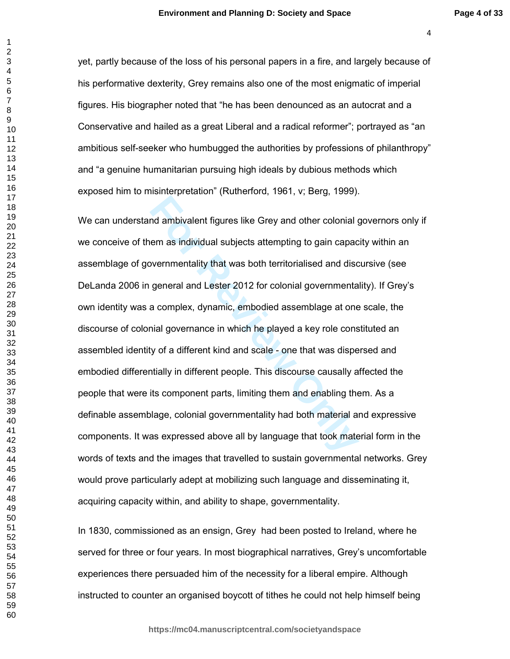yet, partly because of the loss of his personal papers in a fire, and largely because of his performative dexterity, Grey remains also one of the most enigmatic of imperial figures. His biographer noted that "he has been denounced as an autocrat and a Conservative and hailed as a great Liberal and a radical reformer"; portrayed as "an ambitious self-seeker who humbugged the authorities by professions of philanthropy" and "a genuine humanitarian pursuing high ideals by dubious methods which exposed him to misinterpretation" (Rutherford, 1961, v; Berg, 1999).

and ambivalent figures like Grey and other colonial (<br>em as individual subjects attempting to gain capace<br>wernmentality that was both territorialised and disc<br>general and Lester 2012 for colonial governmenta<br>a complex, dyn We can understand ambivalent figures like Grey and other colonial governors only if we conceive of them as individual subjects attempting to gain capacity within an assemblage of governmentality that was both territorialised and discursive (see DeLanda 2006 in general and Lester 2012 for colonial governmentality). If Grey's own identity was a complex, dynamic, embodied assemblage at one scale, the discourse of colonial governance in which he played a key role constituted an assembled identity of a different kind and scale - one that was dispersed and embodied differentially in different people. This discourse causally affected the people that were its component parts, limiting them and enabling them. As a definable assemblage, colonial governmentality had both material and expressive components. It was expressed above all by language that took material form in the words of texts and the images that travelled to sustain governmental networks. Grey would prove particularly adept at mobilizing such language and disseminating it, acquiring capacity within, and ability to shape, governmentality.

In 1830, commissioned as an ensign, Grey had been posted to Ireland, where he served for three or four years. In most biographical narratives, Grey's uncomfortable experiences there persuaded him of the necessity for a liberal empire. Although instructed to counter an organised boycott of tithes he could not help himself being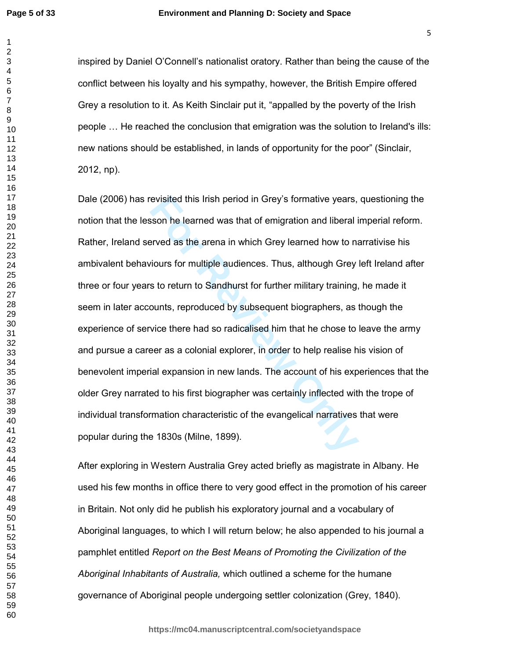inspired by Daniel O'Connell's nationalist oratory. Rather than being the cause of the conflict between his loyalty and his sympathy, however, the British Empire offered Grey a resolution to it. As Keith Sinclair put it, "appalled by the poverty of the Irish people ... He reached the conclusion that emigration was the solution to Ireland's ills: new nations should be established, in lands of opportunity for the poor" (Sinclair, 2012, np).

Evisited this Irish period in Grey's formative years,<br>**Formative and Secure 11 and Secure 2016**<br>**Formation** and liberal interved as the arena in which Grey learned how to nations for multiple audiences. Thus, although Grey Dale (2006) has revisited this Irish period in Grey's formative years, questioning the notion that the lesson he learned was that of emigration and liberal imperial reform. Rather, Ireland served as the arena in which Grey learned how to narrativise his ambivalent behaviours for multiple audiences. Thus, although Grey left Ireland after three or four years to return to Sandhurst for further military training, he made it seem in later accounts, reproduced by subsequent biographers, as though the experience of service there had so radicalised him that he chose to leave the army and pursue a career as a colonial explorer, in order to help realise his vision of benevolent imperial expansion in new lands. The account of his experiences that the older Grey narrated to his first biographer was certainly inflected with the trope of individual transformation characteristic of the evangelical narratives that were popular during the 1830s (Milne, 1899).

After exploring in Western Australia Grey acted briefly as magistrate in Albany. He used his few months in office there to very good effect in the promotion of his career in Britain. Not only did he publish his exploratory journal and a vocabulary of Aboriginal languages, to which I will return below; he also appended to his journal a pamphlet entitled Report on the Best Means of Promoting the Civilization of the Aboriginal Inhabitants of Australia, which outlined a scheme for the humane governance of Aboriginal people undergoing settler colonization (Grey, 1840).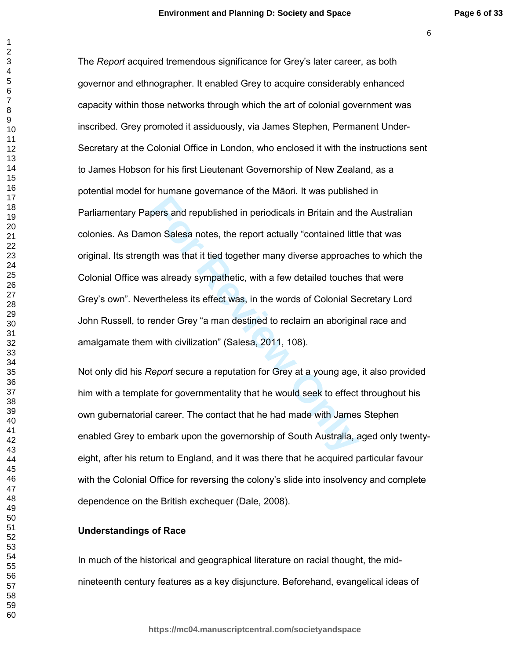For and republished in periodicals in Britain and the understandent on Salesa notes, the report actually "contained littly th was that it tied together many diverse approach as already sympathetic, with a few detailed touc The *Report* acquired tremendous significance for Grey's later career, as both governor and ethnographer. It enabled Grey to acquire considerably enhanced capacity within those networks through which the art of colonial government was inscribed. Grey promoted it assiduously, via James Stephen, Permanent Under Secretary at the Colonial Office in London, who enclosed it with the instructions sent to James Hobson for his first Lieutenant Governorship of New Zealand, as a potential model for humane governance of the Māori. It was published in Parliamentary Papers and republished in periodicals in Britain and the Australian colonies. As Damon Salesa notes, the report actually "contained little that was original. Its strength was that it tied together many diverse approaches to which the Colonial Office was already sympathetic, with a few detailed touches that were Grey's own". Nevertheless its effect was, in the words of Colonial Secretary Lord John Russell, to render Grey "a man destined to reclaim an aboriginal race and amalgamate them with civilization" (Salesa, 2011, 108).

Not only did his *Report* secure a reputation for Grey at a young age, it also provided him with a template for governmentality that he would seek to effect throughout his own gubernatorial career. The contact that he had made with James Stephen enabled Grey to embark upon the governorship of South Australia, aged only twenty eight, after his return to England, and it was there that he acquired particular favour with the Colonial Office for reversing the colony's slide into insolvency and complete dependence on the British exchequer (Dale, 2008).

#### **Understandings of Race**

In much of the historical and geographical literature on racial thought, the mid nineteenth century features as a key disjuncture. Beforehand, evangelical ideas of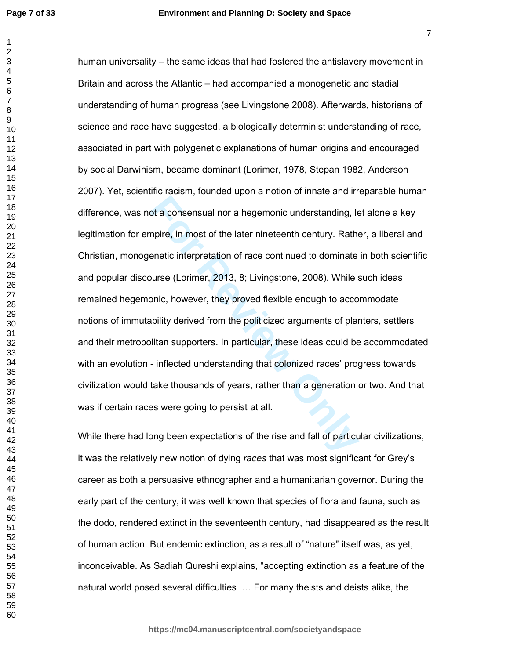$\mathbf{1}$ 

ot a consensual nor a hegemonic understanding, lempire, in most of the later nineteenth century. Rathernetic interpretation of race continued to dominate uurse (Lorimer, 2013, 8; Livingstone, 2008). While sonic, however, t human universality – the same ideas that had fostered the antislavery movement in Britain and across the Atlantic – had accompanied a monogenetic and stadial understanding of human progress (see Livingstone 2008). Afterwards, historians of science and race have suggested, a biologically determinist understanding of race, associated in part with polygenetic explanations of human origins and encouraged by social Darwinism, became dominant (Lorimer, 1978, Stepan 1982, Anderson 2007). Yet, scientific racism, founded upon a notion of innate and irreparable human difference, was not a consensual nor a hegemonic understanding, let alone a key legitimation for empire, in most of the later nineteenth century. Rather, a liberal and Christian, monogenetic interpretation of race continued to dominate in both scientific and popular discourse (Lorimer, 2013, 8; Livingstone, 2008). While such ideas remained hegemonic, however, they proved flexible enough to accommodate notions of immutability derived from the politicized arguments of planters, settlers and their metropolitan supporters. In particular, these ideas could be accommodated with an evolution - inflected understanding that colonized races' progress towards civilization would take thousands of years, rather than a generation or two. And that was if certain races were going to persist at all.

While there had long been expectations of the rise and fall of particular civilizations, it was the relatively new notion of dying *races* that was most significant for Grey's career as both a persuasive ethnographer and a humanitarian governor. During the early part of the century, it was well known that species of flora and fauna, such as the dodo, rendered extinct in the seventeenth century, had disappeared as the result of human action. But endemic extinction, as a result of "nature" itself was, as yet, inconceivable. As Sadiah Qureshi explains, "accepting extinction as a feature of the natural world posed several difficulties ... For many theists and deists alike, the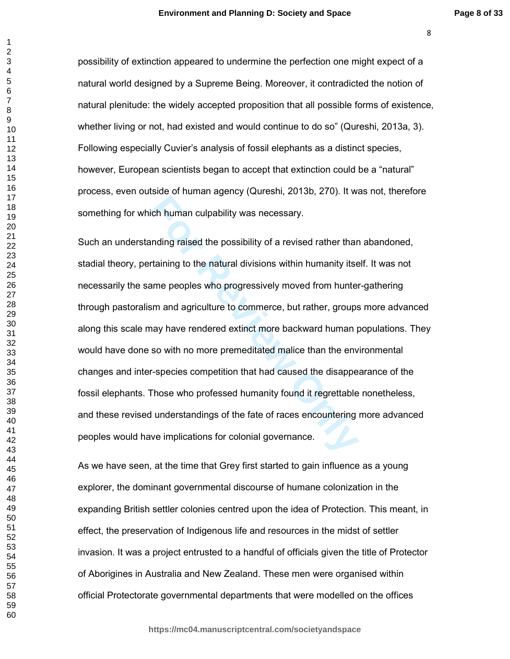possibility of extinction appeared to undermine the perfection one might expect of a natural world designed by a Supreme Being. Moreover, it contradicted the notion of natural plenitude: the widely accepted proposition that all possible forms of existence, whether living or not, had existed and would continue to do so" (Qureshi, 2013a, 3). Following especially Cuvier's analysis of fossil elephants as a distinct species, however, European scientists began to accept that extinction could be a "natural" process, even outside of human agency (Qureshi, 2013b, 270). It was not, therefore something for which human culpability was necessary.

ich human culpability was necessary.<br>
Inding raised the possibility of a revised rather than<br>
Intaining to the natural divisions within humanity itse<br>
Internal and agriculture to commerce, but rather, groups<br>
Internal and Such an understanding raised the possibility of a revised rather than abandoned, stadial theory, pertaining to the natural divisions within humanity itself. It was not necessarily the same peoples who progressively moved from hunter-gathering through pastoralism and agriculture to commerce, but rather, groups more advanced along this scale may have rendered extinct more backward human populations. They would have done so with no more premeditated malice than the environmental changes and interspecies competition that had caused the disappearance of the fossil elephants. Those who professed humanity found it regrettable nonetheless, and these revised understandings of the fate of races encountering more advanced peoples would have implications for colonial governance.

As we have seen, at the time that Grey first started to gain influence as a young explorer, the dominant governmental discourse of humane colonization in the expanding British settler colonies centred upon the idea of Protection. This meant, in effect, the preservation of Indigenous life and resources in the midst of settler invasion. It was a project entrusted to a handful of officials given the title of Protector of Aborigines in Australia and New Zealand. These men were organised within official Protectorate governmental departments that were modelled on the offices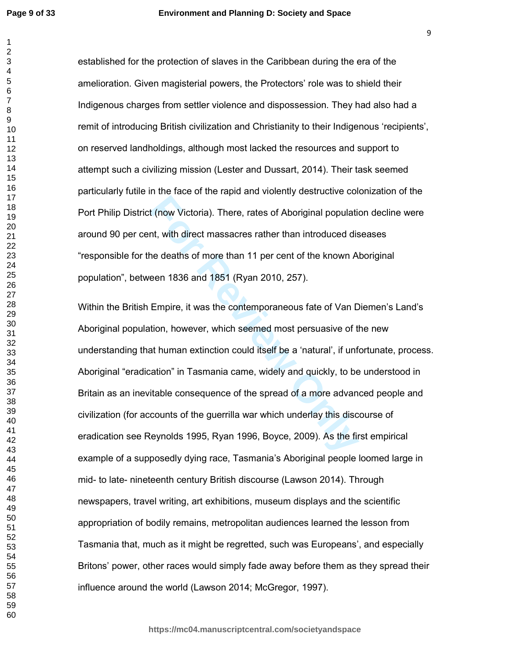established for the protection of slaves in the Caribbean during the era of the amelioration. Given magisterial powers, the Protectors' role was to shield their Indigenous charges from settler violence and dispossession. They had also had a remit of introducing British civilization and Christianity to their Indigenous 'recipients', on reserved landholdings, although most lacked the resources and support to attempt such a civilizing mission (Lester and Dussart, 2014). Their task seemed particularly futile in the face of the rapid and violently destructive colonization of the Port Philip District (now Victoria). There, rates of Aboriginal population decline were around 90 per cent, with direct massacres rather than introduced diseases "responsible for the deaths of more than 11 per cent of the known Aboriginal population", between 1836 and 1851 (Ryan 2010, 257).

f (now Victoria). There, rates of Aboriginal population<br>the with direct massacres rather than introduced dis<br>ne deaths of more than 11 per cent of the known A<br>een 1836 and 1851 (Ryan 2010, 257).<br>Empire, it was the contempo Within the British Empire, it was the contemporaneous fate of Van Diemen's Land's Aboriginal population, however, which seemed most persuasive of the new understanding that human extinction could itself be a 'natural', if unfortunate, process. Aboriginal "eradication" in Tasmania came, widely and quickly, to be understood in Britain as an inevitable consequence of the spread of a more advanced people and civilization (for accounts of the guerrilla war which underlay this discourse of eradication see Reynolds 1995, Ryan 1996, Boyce, 2009). As the first empirical example of a supposedly dying race, Tasmania's Aboriginal people loomed large in mid- to late- nineteenth century British discourse (Lawson 2014). Through newspapers, travel writing, art exhibitions, museum displays and the scientific appropriation of bodily remains, metropolitan audiences learned the lesson from Tasmania that, much as it might be regretted, such was Europeans', and especially Britons' power, other races would simply fade away before them as they spread their influence around the world (Lawson 2014; McGregor, 1997).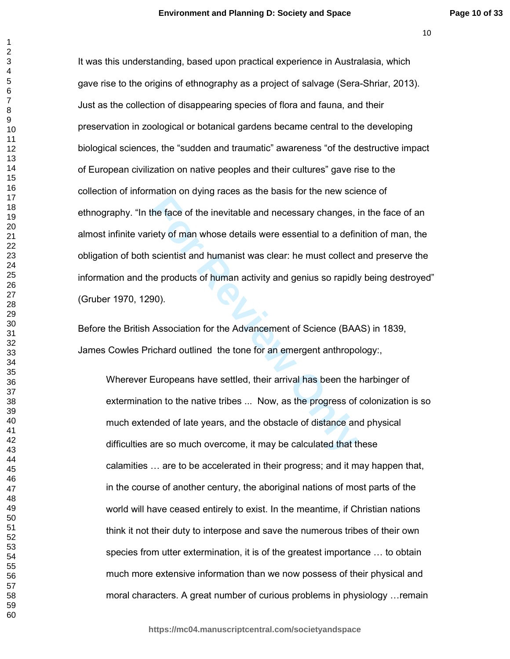the face of the inevitable and necessary changes, if the face of the inevitable and necessary changes, if they of man whose details were essential to a definition scientist and humanist was clear: he must collect are produ It was this understanding, based upon practical experience in Australasia, which gave rise to the origins of ethnography as a project of salvage (Sera-Shriar, 2013). Just as the collection of disappearing species of flora and fauna, and their preservation in zoological or botanical gardens became central to the developing biological sciences, the "sudden and traumatic" awareness "of the destructive impact of European civilization on native peoples and their cultures" gave rise to the collection of information on dying races as the basis for the new science of ethnography. "In the face of the inevitable and necessary changes, in the face of an almost infinite variety of man whose details were essential to a definition of man, the obligation of both scientist and humanist was clear: he must collect and preserve the information and the products of human activity and genius so rapidly being destroyed" (Gruber 1970, 1290).

Before the British Association for the Advancement of Science (BAAS) in 1839, James Cowles Prichard outlined the tone for an emergent anthropology:,

Wherever Europeans have settled, their arrival has been the harbinger of extermination to the native tribes ... Now, as the progress of colonization is so much extended of late years, and the obstacle of distance and physical difficulties are so much overcome, it may be calculated that these calamities ... are to be accelerated in their progress; and it may happen that, in the course of another century, the aboriginal nations of most parts of the world will have ceased entirely to exist. In the meantime, if Christian nations think it not their duty to interpose and save the numerous tribes of their own species from utter extermination, it is of the greatest importance ... to obtain much more extensive information than we now possess of their physical and moral characters. A great number of curious problems in physiology ... remain

**https://mc04.manuscriptcentral.com/societyandspace**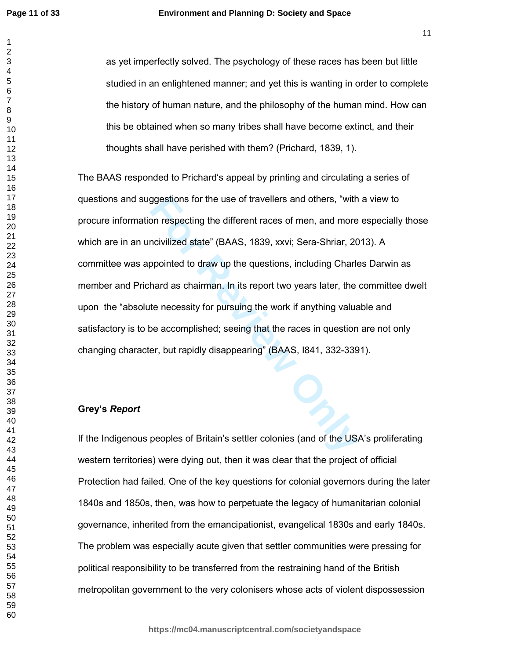as yet imperfectly solved. The psychology of these races has been but little studied in an enlightened manner; and yet this is wanting in order to complete the history of human nature, and the philosophy of the human mind. How can this be obtained when so many tribes shall have become extinct, and their thoughts shall have perished with them? (Prichard, 1839, 1).

ggestions for the use of travellers and others, "with<br>on respecting the different races of men, and more<br>ncivilized state" (BAAS, 1839, xxvi; Sera-Shriar, 20<br>opointed to draw up the questions, including Charle<br>hard as chai The BAAS responded to Prichard's appeal by printing and circulating a series of questions and suggestions for the use of travellers and others, "with a view to procure information respecting the different races of men, and more especially those which are in an uncivilized state" (BAAS, 1839, xxvi; Sera-Shriar, 2013). A committee was appointed to draw up the questions, including Charles Darwin as member and Prichard as chairman. In its report two years later, the committee dwelt upon the "absolute necessity for pursuing the work if anything valuable and satisfactory is to be accomplished; seeing that the races in question are not only changing character, but rapidly disappearing" (BAAS, 1841, 332-3391).

#### Grey's Report

If the Indigenous peoples of Britain's settler colonies (and of the USA's proliferating western territories) were dying out, then it was clear that the project of official Protection had failed. One of the key questions for colonial governors during the later 1840s and 1850s, then, was how to perpetuate the legacy of humanitarian colonial governance, inherited from the emancipationist, evangelical 1830s and early 1840s. The problem was especially acute given that settler communities were pressing for political responsibility to be transferred from the restraining hand of the British metropolitan government to the very colonisers whose acts of violent dispossession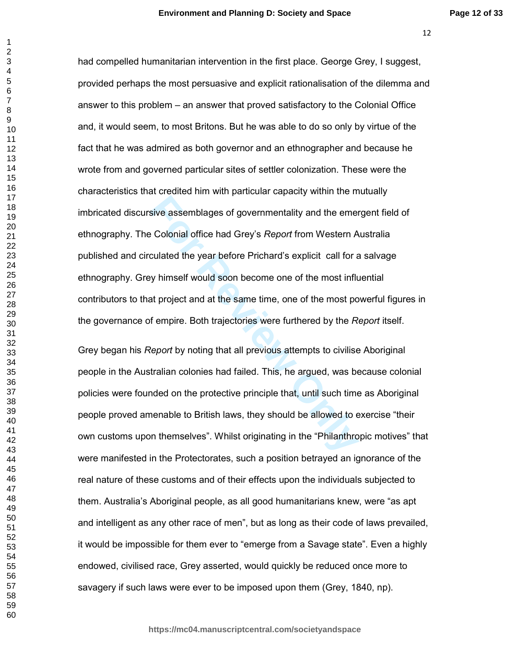sive assemblages of governmentality and the emere<br> **For Colonial office had Grey's** *Report* **from Western A**<br>
culated the year before Prichard's explicit call for a<br>
culated the year before Prichard's explicit call for a<br>
c had compelled humanitarian intervention in the first place. George Grey, I suggest, provided perhaps the most persuasive and explicit rationalisation of the dilemma and answer to this problem – an answer that proved satisfactory to the Colonial Office and, it would seem, to most Britons. But he was able to do so only by virtue of the fact that he was admired as both governor and an ethnographer and because he wrote from and governed particular sites of settler colonization. These were the characteristics that credited him with particular capacity within the mutually imbricated discursive assemblages of governmentality and the emergent field of ethnography. The Colonial office had Grey's from Western Australia published and circulated the year before Prichard's explicit call for a salvage ethnography. Grey himself would soon become one of the most influential contributors to that project and at the same time, one of the most powerful figures in the governance of empire. Both trajectories were furthered by the *Report* itself.

Grey began his *Report* by noting that all previous attempts to civilise Aboriginal people in the Australian colonies had failed. This, he argued, was because colonial policies were founded on the protective principle that, until such time as Aboriginal people proved amenable to British laws, they should be allowed to exercise "their own customs upon themselves". Whilst originating in the "Philanthropic motives" that were manifested in the Protectorates, such a position betrayed an ignorance of the real nature of these customs and of their effects upon the individuals subjected to them. Australia's Aboriginal people, as all good humanitarians knew, were "as apt and intelligent as any other race of men", but as long as their code of laws prevailed, it would be impossible for them ever to "emerge from a Savage state". Even a highly endowed, civilised race, Grey asserted, would quickly be reduced once more to savagery if such laws were ever to be imposed upon them (Grey, 1840, np).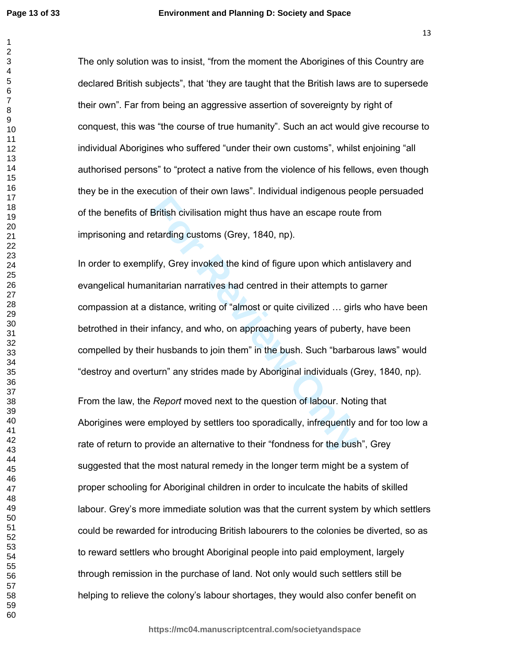The only solution was to insist, "from the moment the Aborigines of this Country are declared British subjects", that 'they are taught that the British laws are to supersede their own". Far from being an aggressive assertion of sovereignty by right of conquest, this was "the course of true humanity". Such an act would give recourse to individual Aborigines who suffered "under their own customs", whilst enjoining "all authorised persons" to "protect a native from the violence of his fellows, even though they be in the execution of their own laws". Individual indigenous people persuaded of the benefits of British civilisation might thus have an escape route from imprisoning and retarding customs (Grey, 1840, np).

British civilisation might thus have an escape route<br>etarding customs (Grey, 1840, np).<br>Ilify, Grey invoked the kind of figure upon which an<br>initarian narratives had centred in their attempts to<br>distance, writing of "almos In order to exemplify, Grey invoked the kind of figure upon which antislavery and evangelical humanitarian narratives had centred in their attempts to garner compassion at a distance, writing of "almost or quite civilized ... girls who have been betrothed in their infancy, and who, on approaching years of puberty, have been compelled by their husbands to join them" in the bush. Such "barbarous laws" would "destroy and overturn" any strides made by Aboriginal individuals (Grey, 1840, np).

From the law, the *Report* moved next to the question of labour. Noting that Aborigines were employed by settlers too sporadically, infrequently and for too low a rate of return to provide an alternative to their "fondness for the bush", Grey suggested that the most natural remedy in the longer term might be a system of proper schooling for Aboriginal children in order to inculcate the habits of skilled labour. Grey's more immediate solution was that the current system by which settlers could be rewarded for introducing British labourers to the colonies be diverted, so as to reward settlers who brought Aboriginal people into paid employment, largely through remission in the purchase of land. Not only would such settlers still be helping to relieve the colony's labour shortages, they would also confer benefit on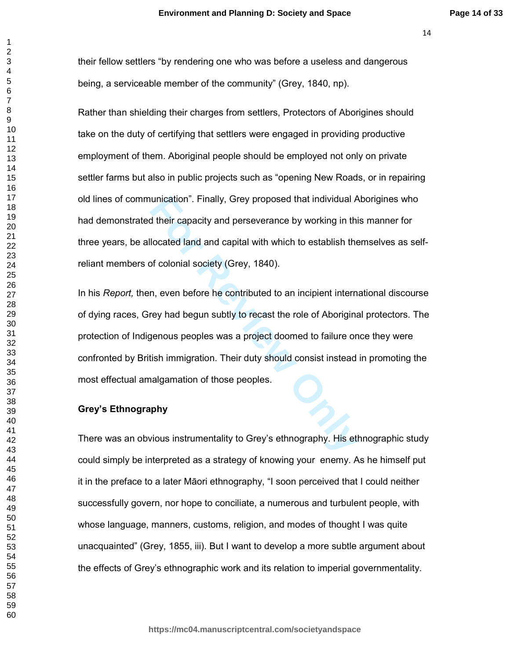their fellow settlers "by rendering one who was before a useless and dangerous being, a serviceable member of the community" (Grey, 1840, np).

Rather than shielding their charges from settlers, Protectors of Aborigines should take on the duty of certifying that settlers were engaged in providing productive employment of them. Aboriginal people should be employed not only on private settler farms but also in public projects such as "opening New Roads, or in repairing old lines of communication". Finally, Grey proposed that individual Aborigines who had demonstrated their capacity and perseverance by working in this manner for three years, be allocated land and capital with which to establish themselves as self reliant members of colonial society (Grey, 1840).

unication". Finally, Grey proposed that individual A<br>d their capacity and perseverance by working in thi<br>located land and capital with which to establish the<br>of colonial society (Grey, 1840).<br>n, even before he contributed In his *Report*, then, even before he contributed to an incipient international discourse of dying races, Grey had begun subtly to recast the role of Aboriginal protectors. The protection of Indigenous peoples was a project doomed to failure once they were confronted by British immigration. Their duty should consist instead in promoting the most effectual amalgamation of those peoples.

#### Grey's Ethnography

There was an obvious instrumentality to Grey's ethnography. His ethnographic study could simply be interpreted as a strategy of knowing your enemy. As he himself put it in the preface to a later Māori ethnography, "I soon perceived that I could neither successfully govern, nor hope to conciliate, a numerous and turbulent people, with whose language, manners, customs, religion, and modes of thought I was quite unacquainted" (Grey, 1855, iii). But I want to develop a more subtle argument about the effects of Grey's ethnographic work and its relation to imperial governmentality.

 $\mathbf{1}$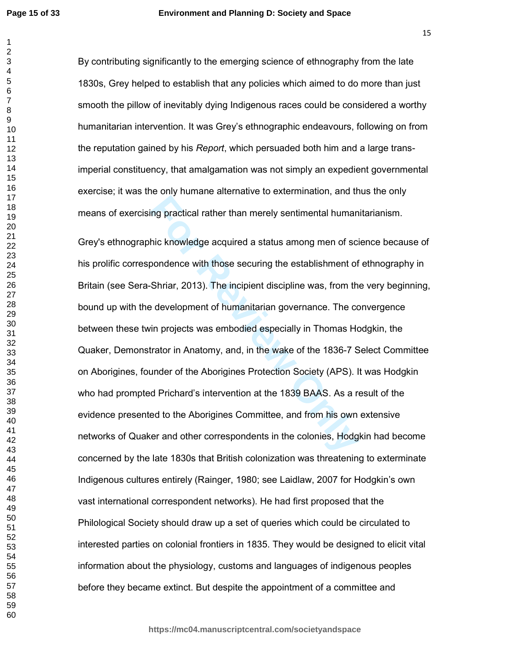By contributing significantly to the emerging science of ethnography from the late 1830s, Grey helped to establish that any policies which aimed to do more than just smooth the pillow of inevitably dying Indigenous races could be considered a worthy humanitarian intervention. It was Grey's ethnographic endeavours, following on from the reputation gained by his *Report*, which persuaded both him and a large transimperial constituency, that amalgamation was not simply an expedient governmental exercise; it was the only humane alternative to extermination, and thus the only means of exercising practical rather than merely sentimental humanitarianism.

ing practical rather than merely sentimental human<br>hic knowledge acquired a status among men of sci<br>sondence with those securing the establishment of<br>Shriar, 2013). The incipient discipline was, from the<br>development of hum Grey's ethnographic knowledge acquired a status among men of science because of his prolific correspondence with those securing the establishment of ethnography in Britain (see Sera-Shriar, 2013). The incipient discipline was, from the very beginning, bound up with the development of humanitarian governance. The convergence between these twin projects was embodied especially in Thomas Hodgkin, the Quaker, Demonstrator in Anatomy, and, in the wake of the 18367 Select Committee on Aborigines, founder of the Aborigines Protection Society (APS). It was Hodgkin who had prompted Prichard's intervention at the 1839 BAAS. As a result of the evidence presented to the Aborigines Committee, and from his own extensive networks of Quaker and other correspondents in the colonies, Hodgkin had become concerned by the late 1830s that British colonization was threatening to exterminate Indigenous cultures entirely (Rainger, 1980; see Laidlaw, 2007 for Hodgkin's own vast international correspondent networks). He had first proposed that the Philological Society should draw up a set of queries which could be circulated to interested parties on colonial frontiers in 1835. They would be designed to elicit vital information about the physiology, customs and languages of indigenous peoples before they became extinct. But despite the appointment of a committee and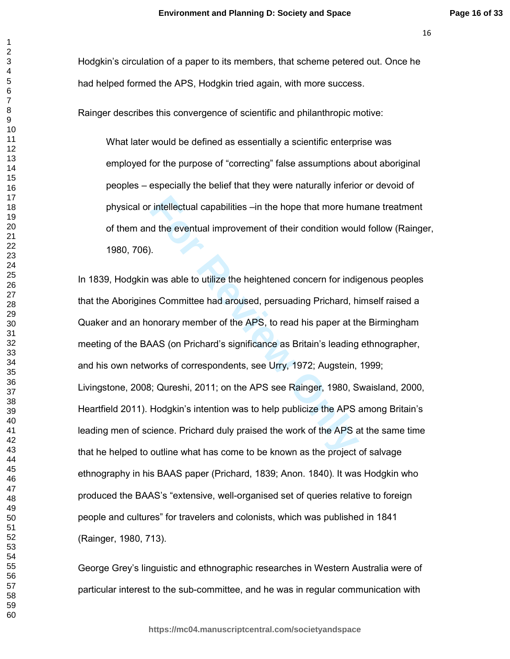Hodgkin's circulation of a paper to its members, that scheme petered out. Once he had helped formed the APS, Hodgkin tried again, with more success.

Rainger describes this convergence of scientific and philanthropic motive:

What later would be defined as essentially a scientific enterprise was employed for the purpose of "correcting" false assumptions about aboriginal peoples – especially the belief that they were naturally inferior or devoid of physical or intellectual capabilities –in the hope that more humane treatment of them and the eventual improvement of their condition would follow (Rainger, 1980, 706).

rifiellectual capabilities –in the hope that more hurnor differential improvement of their condition would the eventual improvement of their condition would was able to utilize the heightened concern for indiges.<br>Sommittee In 1839, Hodgkin was able to utilize the heightened concern for indigenous peoples that the Aborigines Committee had aroused, persuading Prichard, himself raised a Quaker and an honorary member of the APS, to read his paper at the Birmingham meeting of the BAAS (on Prichard's significance as Britain's leading ethnographer, and his own networks of correspondents, see Urry, 1972; Augstein, 1999; Livingstone, 2008; Qureshi, 2011; on the APS see Rainger, 1980, Swaisland, 2000, Heartfield 2011). Hodgkin's intention was to help publicize the APS among Britain's leading men of science. Prichard duly praised the work of the APS at the same time that he helped to outline what has come to be known as the project of salvage ethnography in his BAAS paper (Prichard, 1839; Anon. 1840) . It was Hodgkin who produced the BAAS's "extensive, well-organised set of queries relative to foreign people and cultures" for travelers and colonists, which was published in 1841 (Rainger, 1980, 713).

George Grey's linguistic and ethnographic researches in Western Australia were of particular interest to the sub-committee, and he was in regular communication with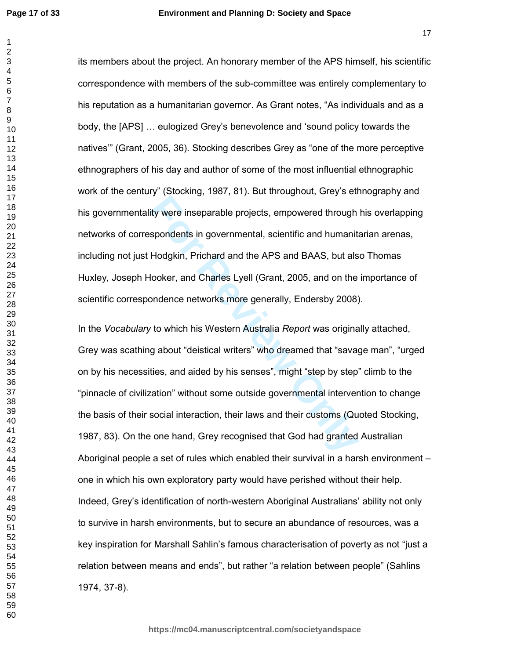**Page 17 of 33**

its members about the project. An honorary member of the APS himself, his scientific correspondence with members of the sub-committee was entirely complementary to his reputation as a humanitarian governor. As Grant notes, "As individuals and as a body, the [APS] ... eulogized Grey's benevolence and 'sound policy towards the natives'" (Grant, 2005, 36). Stocking describes Grey as "one of the more perceptive ethnographers of his day and author of some of the most influential ethnographic work of the century" (Stocking, 1987, 81). But throughout, Grey's ethnography and his governmentality were inseparable projects, empowered through his overlapping networks of correspondents in governmental, scientific and humanitarian arenas, including not just Hodgkin, Prichard and the APS and BAAS, but also Thomas Huxley, Joseph Hooker, and Charles Lyell (Grant, 2005, and on the importance of scientific correspondence networks more generally, Endersby 2008).

**Formular**<br>**Formular Symbol spondents in governmental, scientific and humanit:**<br>
Hodgkin, Prichard and the APS and BAAS, but als<br>
looker, and Charles Lyell (Grant, 2005, and on the<br>
pondence networks more generally, Enders In the Vocabulary to which his Western Australia *Report* was originally attached, Grey was scathing about "deistical writers" who dreamed that "savage man", "urged on by his necessities, and aided by his senses", might "step by step" climb to the "pinnacle of civilization" without some outside governmental intervention to change the basis of their social interaction, their laws and their customs (Quoted Stocking, 1987, 83). On the one hand, Grey recognised that God had granted Australian Aboriginal people a set of rules which enabled their survival in a harsh environment – one in which his own exploratory party would have perished without their help. Indeed, Grey's identification of northwestern Aboriginal Australians' ability not only to survive in harsh environments, but to secure an abundance of resources, was a key inspiration for Marshall Sahlin's famous characterisation of poverty as not "just a relation between means and ends", but rather "a relation between people" (Sahlins 1974, 37-8).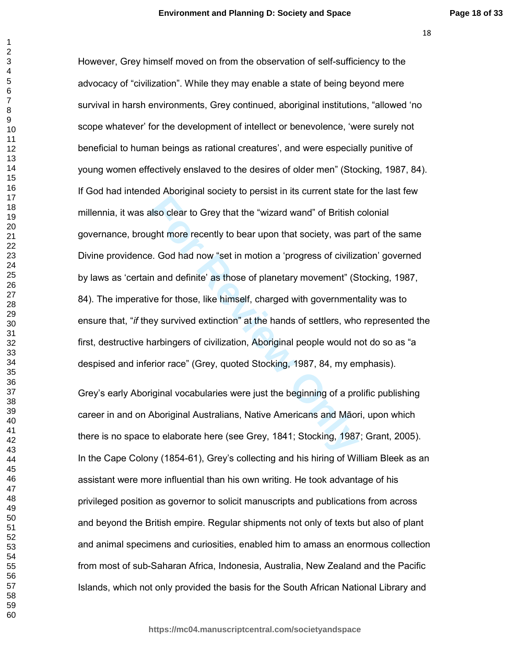also clear to Grey that the "wizard wand" of British oright more recently to bear upon that society, was p<br> **For Review Only 19 and A consider the Society of Scillar**<br> **For A consider and definite' as those of planetary mo** However, Grey himself moved on from the observation of self-sufficiency to the advocacy of "civilization". While they may enable a state of being beyond mere survival in harsh environments, Grey continued, aboriginal institutions, "allowed 'no scope whatever' for the development of intellect or benevolence, 'were surely not beneficial to human beings as rational creatures', and were especially punitive of young women effectively enslaved to the desires of older men" (Stocking, 1987, 84). If God had intended Aboriginal society to persist in its current state for the last few millennia, it was also clear to Grey that the "wizard wand" of British colonial governance, brought more recently to bear upon that society, was part of the same Divine providence. God had now "set in motion a 'progress of civilization' governed by laws as 'certain and definite' as those of planetary movement" (Stocking, 1987, 84). The imperative for those, like himself, charged with governmentality was to ensure that, "*if* they survived extinction" at the hands of settlers, who represented the first, destructive harbingers of civilization, Aboriginal people would not do so as "a despised and inferior race" (Grey, quoted Stocking, 1987, 84, my emphasis).

Grey's early Aboriginal vocabularies were just the beginning of a prolific publishing career in and on Aboriginal Australians, Native Americans and Māori, upon which there is no space to elaborate here (see Grey, 1841; Stocking, 1987; Grant, 2005). In the Cape Colony (1854-61), Grey's collecting and his hiring of William Bleek as an assistant were more influential than his own writing. He took advantage of his privileged position as governor to solicit manuscripts and publications from across and beyond the British empire. Regular shipments not only of texts but also of plant and animal specimens and curiosities, enabled him to amass an enormous collection from most of sub-Saharan Africa, Indonesia, Australia, New Zealand and the Pacific Islands, which not only provided the basis for the South African National Library and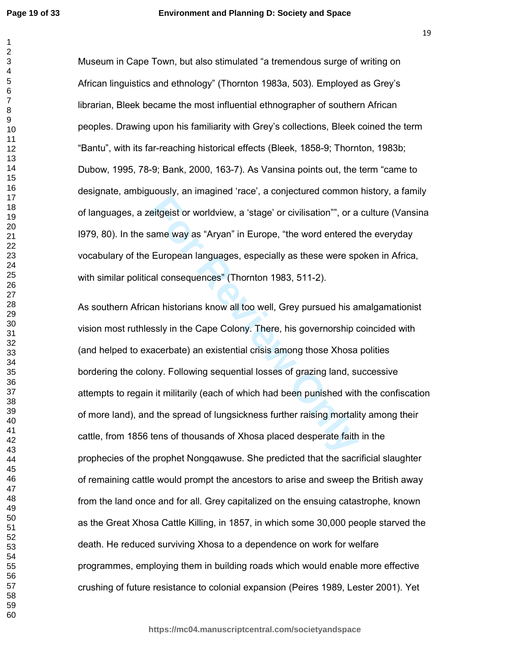Museum in Cape Town, but also stimulated "a tremendous surge of writing on African linguistics and ethnology" (Thornton 1983a, 503). Employed as Grey's librarian, Bleek became the most influential ethnographer of southern African peoples. Drawing upon his familiarity with Grey's collections, Bleek coined the term "Bantu", with its far-reaching historical effects (Bleek, 1858-9; Thornton, 1983b; Dubow, 1995, 78-9; Bank, 2000, 163-7). As Vansina points out, the term "came to designate, ambiguously, an imagined 'race', a conjectured common history, a family of languages, a zeitgeist or worldview, a 'stage' or civilisation"", or a culture (Vansina I979, 80). In the same way as "Aryan" in Europe, "the word entered the everyday vocabulary of the European languages, especially as these were spoken in Africa, with similar political consequences" (Thornton 1983, 511-2).

eitgeist or worldview, a 'stage' or civilisation"", or a<br>ame way as "Aryan" in Europe, "the word entered<br>European languages, especially as these were sp<br>al consequences" (Thornton 1983, 511-2).<br>an historians know all too w As southern African historians know all too well, Grey pursued his amalgamationist vision most ruthlessly in the Cape Colony. There, his governorship coincided with (and helped to exacerbate) an existential crisis among those Xhosa polities bordering the colony. Following sequential losses of grazing land, successive attempts to regain it militarily (each of which had been punished with the confiscation of more land), and the spread of lungsickness further raising mortality among their cattle, from 1856 tens of thousands of Xhosa placed desperate faith in the prophecies of the prophet Nongqawuse. She predicted that the sacrificial slaughter of remaining cattle would prompt the ancestors to arise and sweep the British away from the land once and for all. Grey capitalized on the ensuing catastrophe, known as the Great Xhosa Cattle Killing, in 1857, in which some 30,000 people starved the death. He reduced surviving Xhosa to a dependence on work for welfare programmes, employing them in building roads which would enable more effective crushing of future resistance to colonial expansion (Peires 1989, Lester 2001). Yet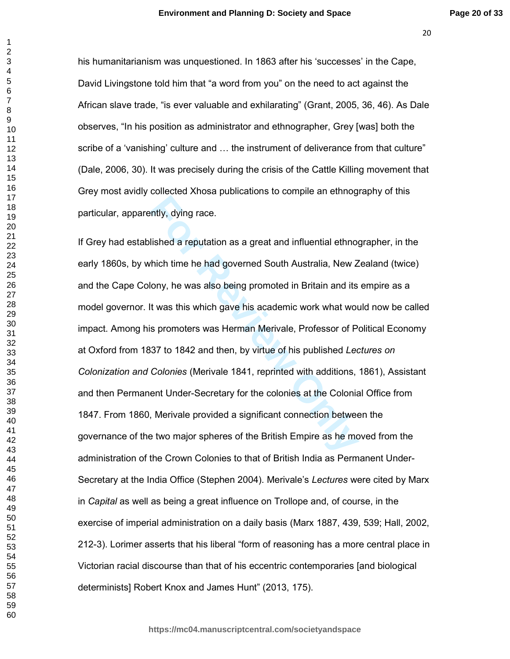his humanitarianism was unquestioned. In 1863 after his 'successes' in the Cape, David Livingstone told him that "a word from you" on the need to act against the African slave trade, "is ever valuable and exhilarating" (Grant, 2005, 36, 46). As Dale observes, "In his position as administrator and ethnographer, Grey [was] both the scribe of a 'vanishing' culture and ... the instrument of deliverance from that culture" (Dale, 2006, 30). It was precisely during the crisis of the Cattle Killing movement that Grey most avidly collected Xhosa publications to compile an ethnography of this particular, apparently, dying race.

Intly, dying race.<br>
Iished a reputation as a great and influential ethnomorphich time he had governed South Australia, New Z<br>
Iony, he was also being promoted in Britain and its<br>
It was this which gave his academic work wh If Grey had established a reputation as a great and influential ethnographer, in the early 1860s, by which time he had governed South Australia, New Zealand (twice) and the Cape Colony, he was also being promoted in Britain and its empire as a model governor. It was this which gave his academic work what would now be called impact. Among his promoters was Herman Merivale, Professor of Political Economy at Oxford from 1837 to 1842 and then, by virtue of his published Lectures on Colonization and Colonies (Merivale 1841, reprinted with additions, 1861), Assistant and then Permanent Under-Secretary for the colonies at the Colonial Office from 1847. From 1860, Merivale provided a significant connection between the governance of the two major spheres of the British Empire as he moved from the administration of the Crown Colonies to that of British India as Permanent Under Secretary at the India Office (Stephen 2004). Merivale's Lectures were cited by Marx in *Capital* as well as being a great influence on Trollope and, of course, in the exercise of imperial administration on a daily basis (Marx 1887, 439, 539; Hall, 2002, 2123). Lorimer asserts that his liberal "form of reasoning has a more central place in Victorian racial discourse than that of his eccentric contemporaries [and biological determinists] Robert Knox and James Hunt" (2013, 175).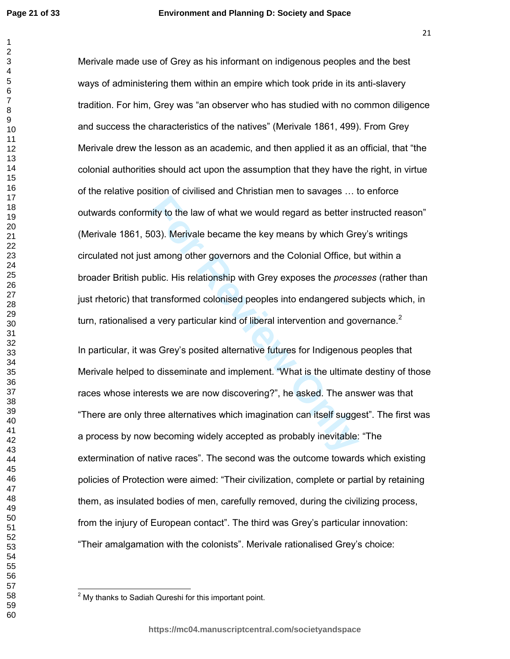**Page 21 of 33**

hity to the law of what we would regard as better in:<br>03). Merivale became the key means by which Green among other governors and the Colonial Office, b<br>ablic. His relationship with Grey exposes the *proces*:<br>transformed c Merivale made use of Grey as his informant on indigenous peoples and the best ways of administering them within an empire which took pride in its anti-slavery tradition. For him, Grey was "an observer who has studied with no common diligence and success the characteristics of the natives" (Merivale 1861, 499). From Grey Merivale drew the lesson as an academic, and then applied it as an official, that "the colonial authorities should act upon the assumption that they have the right, in virtue of the relative position of civilised and Christian men to savages ... to enforce outwards conformity to the law of what we would regard as better instructed reason" (Merivale 1861, 503). Merivale became the key means by which Grey's writings circulated not just among other governors and the Colonial Office, but within a broader British public. His relationship with Grey exposes the *processes* (rather than just rhetoric) that transformed colonised peoples into endangered subjects which, in turn, rationalised a very particular kind of liberal intervention and governance.<sup>2</sup>

In particular, it was Grey's posited alternative futures for Indigenous peoples that Merivale helped to disseminate and implement. "What is the ultimate destiny of those races whose interests we are now discovering?", he asked. The answer was that "There are only three alternatives which imagination can itself suggest". The first was a process by now becoming widely accepted as probably inevitable: "The extermination of native races". The second was the outcome towards which existing policies of Protection were aimed: "Their civilization, complete or partial by retaining them, as insulated bodies of men, carefully removed, during the civilizing process, from the injury of European contact". The third was Grey's particular innovation: "Their amalgamation with the colonists". Merivale rationalised Grey's choice:

 $\overline{a}$ 

My thanks to Sadiah Qureshi for this important point.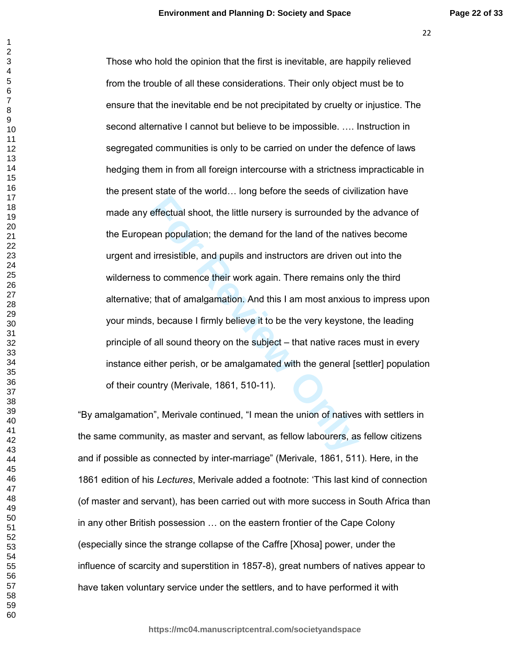effectual shoot, the little nursery is surrounded by the same population; the demand for the land of the national irresistible, and pupils and instructors are driven c to commence their work again. There remains onl; that Those who hold the opinion that the first is inevitable, are happily relieved from the trouble of all these considerations. Their only object must be to ensure that the inevitable end be not precipitated by cruelty or injustice. The second alternative I cannot but believe to be impossible. .... Instruction in segregated communities is only to be carried on under the defence of laws hedging them in from all foreign intercourse with a strictness impracticable in the present state of the world... long before the seeds of civilization have made any effectual shoot, the little nursery is surrounded by the advance of the European population; the demand for the land of the natives become urgent and irresistible, and pupils and instructors are driven out into the wilderness to commence their work again. There remains only the third alternative; that of amalgamation. And this I am most anxious to impress upon your minds, because I firmly believe it to be the very keystone, the leading principle of all sound theory on the subject – that native races must in every instance either perish, or be amalgamated with the general [settler] population of their country (Merivale, 1861, 510-11).

"By amalgamation", Merivale continued, "I mean the union of natives with settlers in the same community, as master and servant, as fellow labourers, as fellow citizens and if possible as connected by inter-marriage" (Merivale, 1861, 511). Here, in the 1861 edition of his Lectures, Merivale added a footnote: 'This last kind of connection (of master and servant), has been carried out with more success in South Africa than in any other British possession  $\ldots$  on the eastern frontier of the Cape Colony (especially since the strange collapse of the Caffre [Xhosa] power, under the influence of scarcity and superstition in 1857-8), great numbers of natives appear to have taken voluntary service under the settlers, and to have performed it with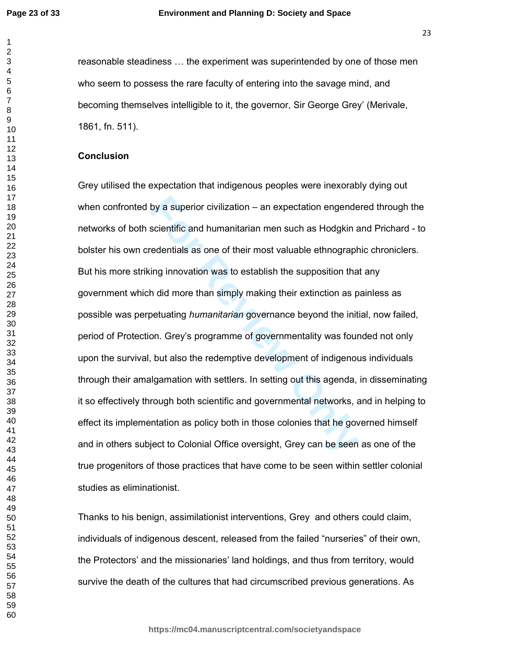reasonable steadiness ... the experiment was superintended by one of those men who seem to possess the rare faculty of entering into the savage mind, and becoming themselves intelligible to it, the governor, Sir George Grey' (Merivale, 1861, fn. 511).

#### **Conclusion**

by a superior civilization – an expectation engende<br>scientific and humanitarian men such as Hodgkin a<br>redentials as one of their most valuable ethnograph<br>ing innovation was to establish the supposition tha<br>h did more than Grey utilised the expectation that indigenous peoples were inexorably dying out when confronted by a superior civilization – an expectation engendered through the networks of both scientific and humanitarian men such as Hodgkin and Prichard to bolster his own credentials as one of their most valuable ethnographic chroniclers. But his more striking innovation was to establish the supposition that any government which did more than simply making their extinction as painless as possible was perpetuating *humanitarian* governance beyond the initial, now failed, period of Protection. Grey's programme of governmentality was founded not only upon the survival, but also the redemptive development of indigenous individuals through their amalgamation with settlers. In setting out this agenda, in disseminating it so effectively through both scientific and governmental networks, and in helping to effect its implementation as policy both in those colonies that he governed himself and in others subject to Colonial Office oversight, Grey can be seen as one of the true progenitors of those practices that have come to be seen within settler colonial studies as eliminationist.

Thanks to his benign, assimilationist interventions, Grey and others could claim, individuals of indigenous descent, released from the failed "nurseries" of their own, the Protectors' and the missionaries' land holdings, and thus from territory, would survive the death of the cultures that had circumscribed previous generations. As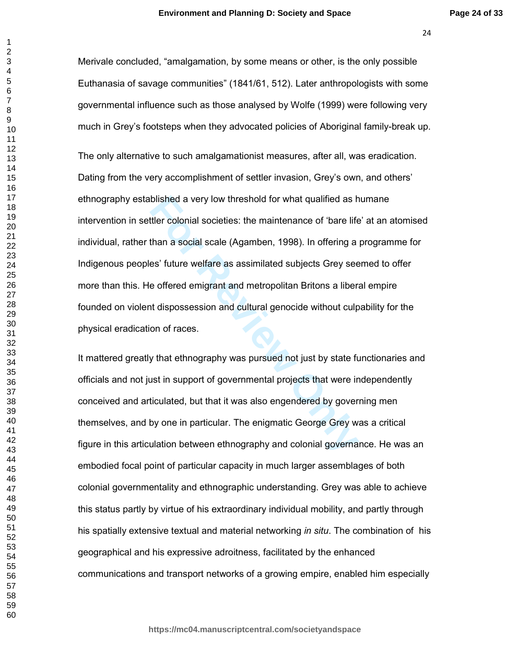Merivale concluded, "amalgamation, by some means or other, is the only possible Euthanasia of savage communities" (1841/61, 512). Later anthropologists with some governmental influence such as those analysed by Wolfe (1999) were following very much in Grey's footsteps when they advocated policies of Aboriginal family-break up.

blished a very low threshold for what qualified as head the colonial societies: the maintenance of 'bare life<br>than a social scale (Agamben, 1998). In offering a<br>es' future welfare as assimilated subjects Grey see<br>e offered The only alternative to such amalgamationist measures, after all, was eradication. Dating from the very accomplishment of settler invasion, Grey's own, and others' ethnography established a very low threshold for what qualified as humane intervention in settler colonial societies: the maintenance of 'bare life' at an atomised individual, rather than a social scale (Agamben, 1998). In offering a programme for Indigenous peoples' future welfare as assimilated subjects Grey seemed to offer more than this. He offered emigrant and metropolitan Britons a liberal empire founded on violent dispossession and cultural genocide without culpability for the physical eradication of races.

It mattered greatly that ethnography was pursued not just by state functionaries and officials and not just in support of governmental projects that were independently conceived and articulated, but that it was also engendered by governing men themselves, and by one in particular. The enigmatic George Grey was a critical figure in this articulation between ethnography and colonial governance. He was an embodied focal point of particular capacity in much larger assemblages of both colonial governmentality and ethnographic understanding. Grey was able to achieve this status partly by virtue of his extraordinary individual mobility, and partly through his spatially extensive textual and material networking *in situ*. The combination of his geographical and his expressive adroitness, facilitated by the enhanced communications and transport networks of a growing empire, enabled him especially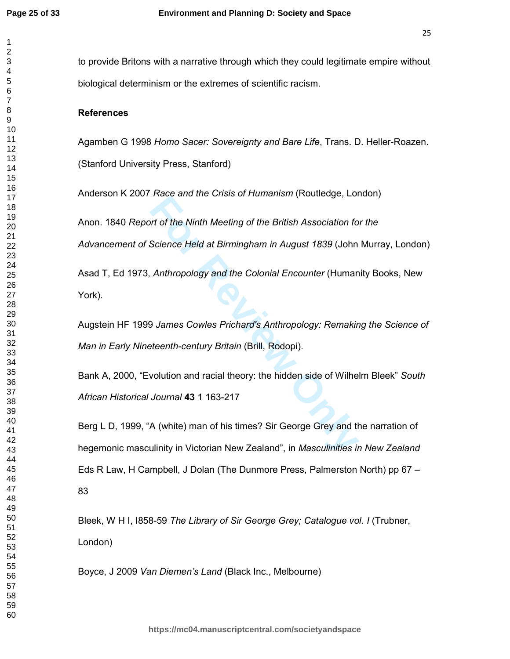to provide Britons with a narrative through which they could legitimate empire without biological determinism or the extremes of scientific racism.

#### **--- -**

Agamben G 1998 Homo Sacer: Sovereignty and Bare Life, Trans. D. Heller-Roazen. (Stanford University Press, Stanford)

Anderson K 2007 *Race and the Crisis of Humanism* (Routledge, London)

Anon. 1840 Report of the Ninth Meeting of the British Association for the Advancement of Science Held at Birmingham in August 1839 (John Murray, London)

Asad T, Ed 1973, Anthropology and the Colonial Encounter (Humanity Books, New York).

Augstein HF 1999 James Cowles Prichard's Anthropology: Remaking the Science of Man in Early Nineteenth-century Britain (Brill, Rodopi).

Bank A, 2000, "Evolution and racial theory: the hidden side of Wilhelm Bleek" South African Historical Journal **43** 1 163-217

**For Review Only** Berg L D, 1999, "A (white) man of his times? Sir George Grey and the narration of hegemonic masculinity in Victorian New Zealand", in *Masculinities in New Zealand* Eds R Law, H Campbell, J Dolan (The Dunmore Press, Palmerston North) pp 67 – 

Bleek, W H I, 1858-59 The Library of Sir George Grey; Catalogue vol. I (Trubner, London)

Boyce, J 2009 Van Diemen's Land (Black Inc., Melbourne)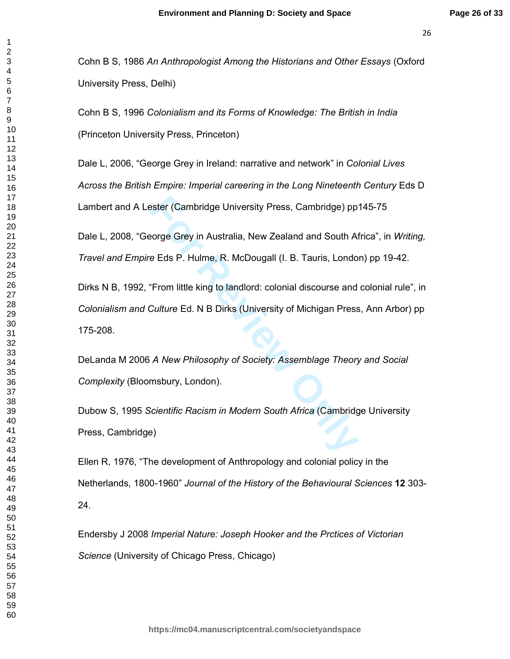Cohn B S, 1986 An Anthropologist Among the Historians and Other Essays (Oxford University Press, Delhi)

Cohn B S, 1996 *Colonialism and its Forms of Knowledge: The British in India* (Princeton University Press, Princeton)

Dale L, 2006, "George Grey in Ireland: narrative and network" in *Colonial Lives* Across the British Empire: Imperial careering in the Long Nineteenth Century Eds D Lambert and A Lester (Cambridge University Press, Cambridge) pp145-75

Dale L, 2008, "George Grey in Australia, New Zealand and South Africa", in *Writing*, *Travel and Empire Eds P. Hulme, R. McDougall (I. B. Tauris, London) pp 19-42.* 

Exter (Cambridge University Press, Cambridge) pp<br>
Peorge Grey in Australia, New Zealand and South At<br>
Form little king to landlord: colonial discourse and<br>
From little king to landlord: colonial discourse and<br>
Culture Ed. Dirks N B, 1992, "From little king to landlord: colonial discourse and colonial rule", in Colonialism and Culture Ed. N B Dirks (University of Michigan Press, Ann Arbor) pp 175-208.

DeLanda M 2006 A New Philosophy of Society: Assemblage Theory and Social Complexity (Bloomsbury, London).

Dubow S, 1995 Scientific Racism in Modern South Africa (Cambridge University Press, Cambridge)

Ellen R, 1976, "The development of Anthropology and colonial policy in the Netherlands, 1800-1960" Journal of the History of the Behavioural Sciences 12 303-24.

Endersby J 2008 Imperial Nature: Joseph Hooker and the Prctices of Victorian *Science* (University of Chicago Press, Chicago)

 $\mathbf{1}$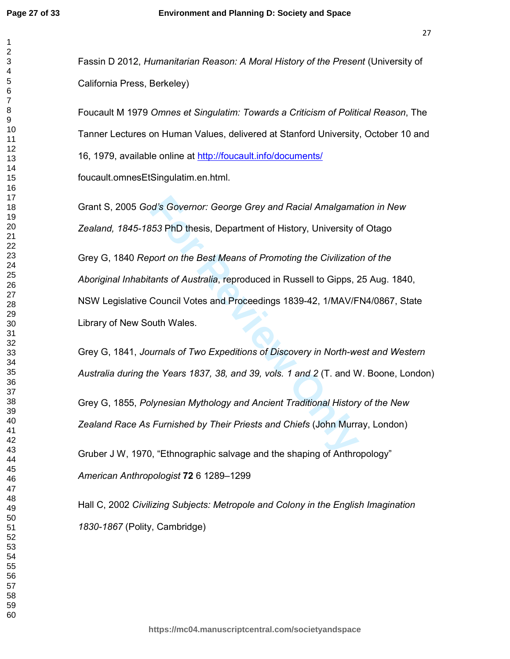Fassin D 2012, *Humanitarian Reason: A Moral History of the Present* (University of California Press, Berkeley)

Foucault M 1979 Omnes et Singulatim: Towards a Criticism of Political Reason, The Tanner Lectures on Human Values, delivered at Stanford University, October 10 and 16, 1979, available online at http://foucault.info/documents/

foucault.omnesEtSingulatim.en.html.

Grant S, 2005 God's Governor: George Grey and Racial Amalgamation in New Zealand, 1845-1853 PhD thesis, Department of History, University of Otago

od's Governor: George Grey and Racial Amalgama<br>
For PhD thesis, Department of History, University cont on the Best Means of Promoting the Civilization<br>
For Review Only and Proceedings 1839-42, 1/MAV/F<br>
Council Votes and Pr Grey G, 1840 Report on the Best Means of Promoting the Civilization of the A*boriginal Inhabitants of Australia*, reproduced in Russell to Gipps, 25 Aug. 1840, NSW Legislative Council Votes and Proceedings 1839-42, 1/MAV/FN4/0867, State Library of New South Wales.

Grey G, 1841, Journals of Two Expeditions of Discovery in North-west and Western Australia during the Years 1837, 38, and 39, vols. 1 and 2 (T. and W. Boone, London)

Grey G, 1855, Polynesian Mythology and Ancient Traditional History of the New Zealand Race As Furnished by Their Priests and Chiefs (John Murray, London)

Gruber J W, 1970, "Ethnographic salvage and the shaping of Anthropology" American Anthropologist 72 6 1289–1299

Hall C, 2002 Civilizing Subjects: Metropole and Colony in the English Imagination *%&'A.%&B>*(Polity, Cambridge)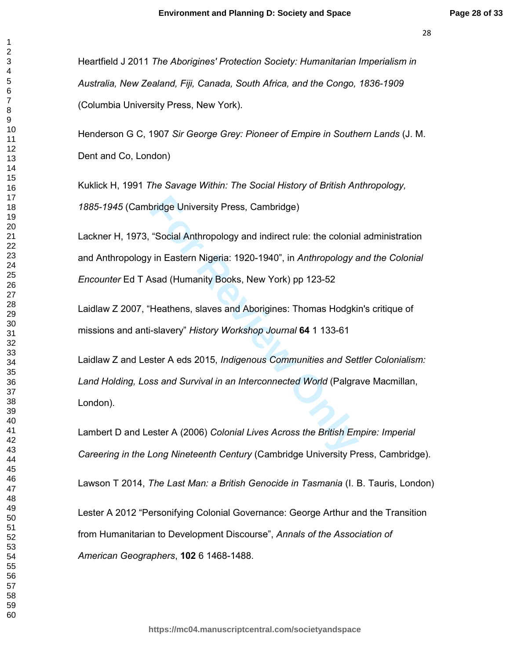Heartfield J 2011 The Aborigines' Protection Society: Humanitarian Imperialism in Australia, New Zealand, Fiji, Canada, South Africa, and the Congo, 1836-1909 (Columbia University Press, New York).

Henderson G C, 1907 Sir George Grey: Pioneer of Empire in Southern Lands (J. M. Dent and Co, London)

Kuklick H, 1991 The Savage Within: The Social History of British Anthropology, 1885-1945 (Cambridge University Press, Cambridge)

oridge University Press, Cambridge)<br>
"Social Anthropology and indirect rule: the colonia<br>
in Eastern Nigeria: 1920-1940", in Anthropology a<br>
sad (Humanity Books, New York) pp 123-52<br>
Heathens, slaves and Aborigines: Thomas Lackner H, 1973, "Social Anthropology and indirect rule: the colonial administration and Anthropology in Eastern Nigeria: 1920-1940", in *Anthropology and the Colonial Encounter* Ed T Asad (Humanity Books, New York) pp 123-52

Laidlaw Z 2007, "Heathens, slaves and Aborigines: Thomas Hodgkin's critique of missions and anti-slavery" History Workshop Journal 64 1 133-61

Laidlaw Z and Lester A eds 2015, Indigenous Communities and Settler Colonialism: Land Holding, Loss and Survival in an Interconnected World (Palgrave Macmillan, London).

Lambert D and Lester A (2006) *Colonial Lives Across the British Empire: Imperial* Careering in the Long Nineteenth Century (Cambridge University Press, Cambridge).

Lawson T 2014, *The Last Man: a British Genocide in Tasmania* (I. B. Tauris, London)

Lester A 2012 "Personifying Colonial Governance: George Arthur and the Transition from Humanitarian to Development Discourse", *American Geographers, 102 6 1468-1488.*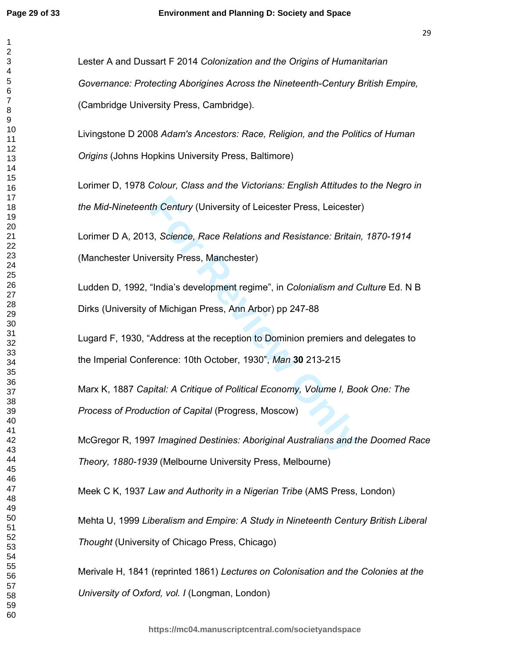| 1        |
|----------|
|          |
|          |
|          |
|          |
|          |
|          |
|          |
|          |
|          |
|          |
|          |
|          |
|          |
|          |
|          |
|          |
|          |
|          |
|          |
|          |
|          |
|          |
|          |
|          |
|          |
|          |
|          |
|          |
|          |
|          |
|          |
|          |
|          |
|          |
|          |
|          |
|          |
|          |
|          |
|          |
|          |
| --<br>39 |
|          |
| 40       |
| 41       |
| .<br>42  |
| 43       |
| 44       |
| 45       |
| 46       |
| 47       |
| 48       |
| 49       |
| 50       |
| 51       |
| 52       |
| 53<br>ļ  |
|          |
| 54       |
| 55       |
| 56       |
| 57       |
| 58       |
| 59       |
| 60       |
|          |

| Lester A and Dussart F 2014 Colonization and the Origins of Humanitarian            |
|-------------------------------------------------------------------------------------|
| Governance: Protecting Aborigines Across the Nineteenth-Century British Empire,     |
| (Cambridge University Press, Cambridge).                                            |
| Livingstone D 2008 Adam's Ancestors: Race, Religion, and the Politics of Human      |
| Origins (Johns Hopkins University Press, Baltimore)                                 |
| Lorimer D, 1978 Colour, Class and the Victorians: English Attitudes to the Negro in |
|                                                                                     |
| the Mid-Nineteenth Century (University of Leicester Press, Leicester)               |
| Lorimer D A, 2013, Science, Race Relations and Resistance: Britain, 1870-1914       |
| (Manchester University Press, Manchester)                                           |
| Ludden D, 1992, "India's development regime", in Colonialism and Culture Ed. N B    |
|                                                                                     |
| Dirks (University of Michigan Press, Ann Arbor) pp 247-88                           |
| Lugard F, 1930, "Address at the reception to Dominion premiers and delegates to     |
| the Imperial Conference: 10th October, 1930", Man 30 213-215                        |
| Marx K, 1887 Capital: A Critique of Political Economy, Volume I, Book One: The      |
| Process of Production of Capital (Progress, Moscow)                                 |
|                                                                                     |
| McGregor R, 1997 Imagined Destinies: Aboriginal Australians and the Doomed Race     |
| Theory, 1880-1939 (Melbourne University Press, Melbourne)                           |
| Meek C K, 1937 Law and Authority in a Nigerian Tribe (AMS Press, London)            |
| Mehta U, 1999 Liberalism and Empire: A Study in Nineteenth Century British Liberal  |
| Thought (University of Chicago Press, Chicago)                                      |
| Merivale H, 1841 (reprinted 1861) Lectures on Colonisation and the Colonies at the  |
| University of Oxford, vol. I (Longman, London)                                      |
|                                                                                     |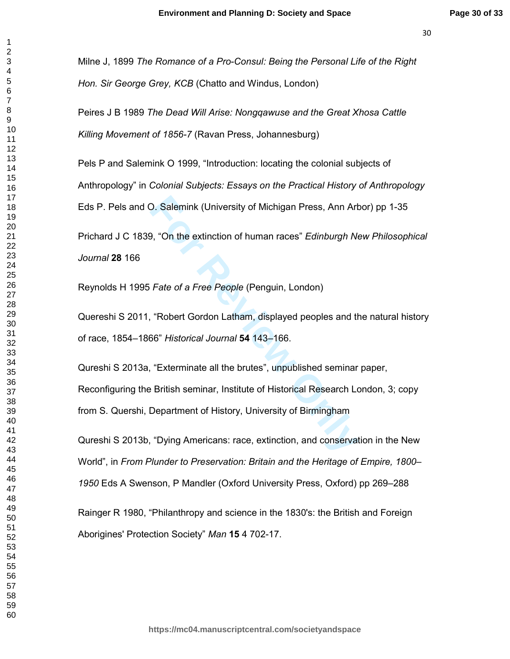Milne J, 1899 The Romance of a Pro-Consul: Being the Personal Life of the Right *Hon. Sir George Grey, KCB (Chatto and Windus, London)* 

Peires J B 1989 The Dead Will Arise: Nongqawuse and the Great Xhosa Cattle Killing Movement of 1856-7 (Ravan Press, Johannesburg)

Pels P and Salemink O 1999, "Introduction: locating the colonial subjects of Anthropology" in *Colonial Subjects: Essays on the Practical History of Anthropology* Eds P. Pels and O. Salemink (University of Michigan Press, Ann Arbor) pp 135

Prichard J C 1839, "On the extinction of human races" Edinburgh New Philosophical *\*-* **!%** 166

Reynolds H 1995 *Fate of a Free People* (Penguin, London)

Quereshi S 2011, "Robert Gordon Latham, displayed peoples and the natural history of race, 1854–1866" Historical Journal 54 143–166.

**Formular Continuosity of Michigan Press, Ann Art**<br> **Formular All (University of Michigan Press, Ann Art**<br> **Fate of a Free People (Penguin, London)**<br>
"Robert Gordon Latham, displayed peoples and the<br>
formular Historical Jo Qureshi S 2013a, "Exterminate all the brutes", unpublished seminar paper, Reconfiguring the British seminar, Institute of Historical Research London, 3; copy from S. Quershi, Department of History, University of Birmingham

Qureshi S 2013b, "Dying Americans: race, extinction, and conservation in the New World", in *From Plunder to Preservation: Britain and the Heritage of Empire, 1800–* 1950 Eds A Swenson, P Mandler (Oxford University Press, Oxford) pp 269–288

Rainger R 1980, "Philanthropy and science in the 1830's: the British and Foreign Aborigines' Protection Society" Man 15 4 702-17.

 $\mathbf{1}$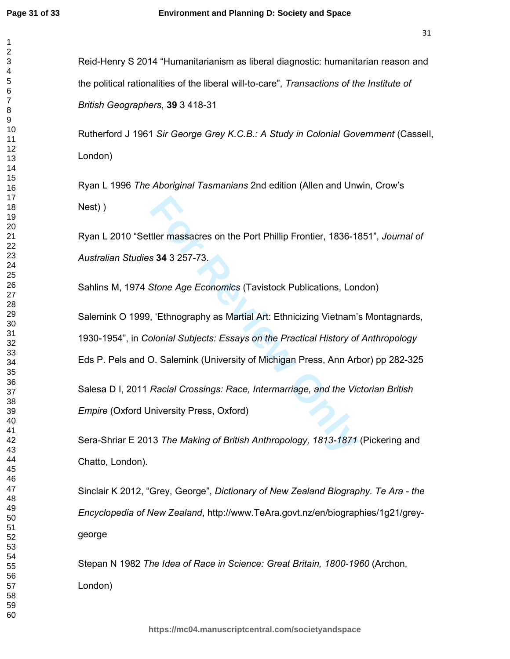Reid-Henry S 2014 "Humanitarianism as liberal diagnostic: humanitarian reason and the political rationalities of the liberal will-to-care", *Transactions of the Institute of* **British Geographers, 39 3 418-31** 

Rutherford J 1961 Sir George Grey K.C.B.: A Study in Colonial Government (Cassell, London)

Ryan L 1996 *The Aboriginal Tasmanians* 2nd edition (Allen and Unwin, Crow's Nest) )

Ryan L 2010 "Settler massacres on the Port Phillip Frontier, 1836-1851", *Journal of -
"
-*  3 25773.

Sahlins M, 1974 Stone Age Economics (Tavistock Publications, London)

Salemink O 1999, 'Ethnography as Martial Art: Ethnicizing Vietnam's Montagnards,

1930-1954", in Colonial Subjects: Essays on the Practical History of Anthropology

Eds P. Pels and O. Salemink (University of Michigan Press, Ann Arbor) pp 282325

Frem Massacres on the Port Phillip Frontier, 1836-18<br> **For Review Comment Standard Standard Standard Standard Standard Standard Standard Standard Standard Standard Standard Standard Standard Standard Review Channel Review** Salesa D I, 2011 Racial Crossings: Race, Intermarriage, and the Victorian British *Empire (Oxford University Press, Oxford)* 

Sera-Shriar E 2013 The Making of British Anthropology, 1813-1871 (Pickering and Chatto, London).

Sinclair K 2012, "Grey, George", *Dictionary of New Zealand Biography. Te Ara - the* Encyclopedia of New Zealand, http://www.TeAra.govt.nz/en/biographies/1g21/greygeorge

Stepan N 1982 *The Idea of Race in Science: Great Britain, 1800-1960* (Archon, London)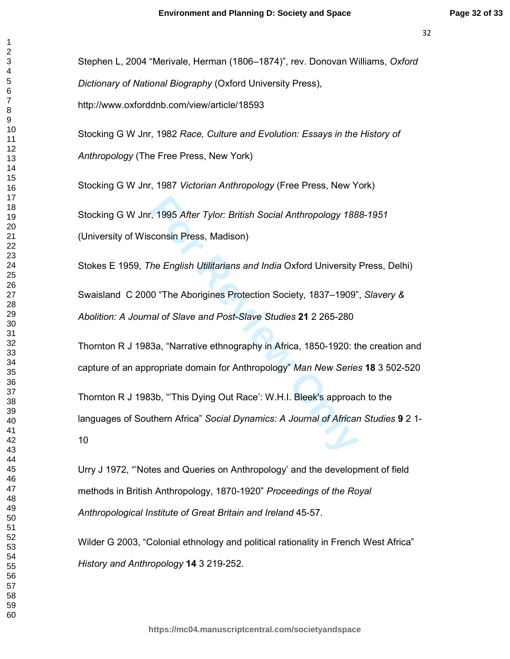Stephen L, 2004 "Merivale, Herman (1806–1874)", rev. Donovan Williams, Oxford *Dictionary of National Biography (Oxford University Press),* http://www.oxforddnb.com/view/article/18593

Stocking G W Jnr, 1982 Race, Culture and Evolution: Essays in the History of *Anthropology* (The Free Press, New York)

Stocking G W Jnr, 1987 *Victorian Anthropology* (Free Press, New York)

Stocking G W Jnr, 1995 After Tylor: British Social Anthropology 1888-1951 (University of Wisconsin Press, Madison)

Stokes E 1959, *The English Utilitarians and India* Oxford University Press, Delhi)

Swaisland C 2000 "The Aborigines Protection Society, 1837–1909", Slavery & Abolition: A Journal of Slave and Post-Slave Studies 21 2 265-280

The Hall Consults and India Oxford University<br>
For British Social Anthropology 188<br>
For British Utilitarians and India Oxford University<br>
1995 After Revision<br>
1996 The Aborigines Protection Society, 1837–1909<br>
1997 - The A Thornton R J 1983a, "Narrative ethnography in Africa, 1850-1920: the creation and capture of an appropriate domain for Anthropology" Man New Series 18 3 502-520 Thornton R J 1983b, "'This Dying Out Race': W.H.I. Bleek's approach to the languages of Southern Africa" Social Dynamics: A Journal of African Studies 9 2 1-

Urry J 1972, "'Notes and Queries on Anthropology' and the development of field methods in British Anthropology, 1870-1920" *Proceedings of the Royal* Anthropological Institute of Great Britain and Ireland 45-57.

Wilder G 2003, "Colonial ethnology and political rationality in French West Africa" *History and Anthropology* **14** 3 219-252.